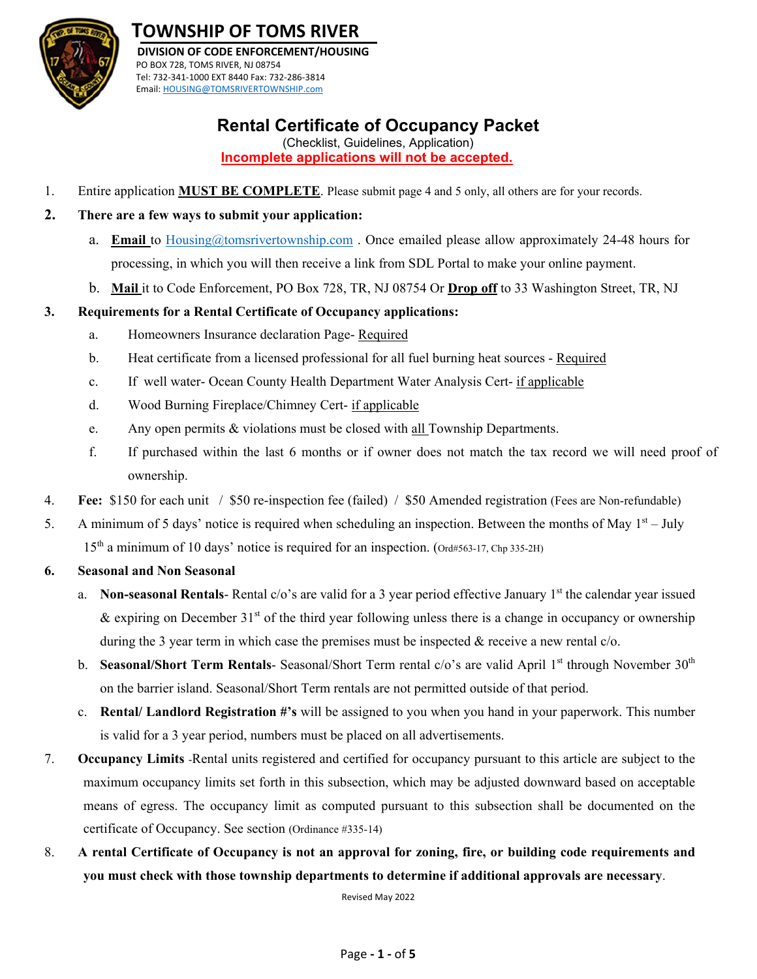

# **TOWNSHIP OF TOMS RIVER**

 **DIVISION OF CODE ENFORCEMENT/HOUSING** PO BOX 728, TOMS RIVER, NJ 08754 Tel: 732‐341‐1000 EXT 8440 Fax: 732‐286‐3814 Email: HOUSING@TOMSRIVERTOWNSHIP.com

## **Rental Certificate of Occupancy Packet**

(Checklist, Guidelines, Application) **Incomplete applications will not be accepted.** 

1. Entire application **MUST BE COMPLETE**. Please submit page 4 and 5 only, all others are for your records.

## **2. There are a few ways to submit your application:**

- a. **Email** to Housing@tomsrivertownship.com . Once emailed please allow approximately 24-48 hours for processing, in which you will then receive a link from SDL Portal to make your online payment.
- b. **Mail** it to Code Enforcement, PO Box 728, TR, NJ 08754 Or **Drop off** to 33 Washington Street, TR, NJ

## **3. Requirements for a Rental Certificate of Occupancy applications:**

- a. Homeowners Insurance declaration Page- Required
- b. Heat certificate from a licensed professional for all fuel burning heat sources Required
- c. If well water- Ocean County Health Department Water Analysis Cert- if applicable
- d. Wood Burning Fireplace/Chimney Cert- if applicable
- e. Any open permits & violations must be closed with all Township Departments.
- f. If purchased within the last 6 months or if owner does not match the tax record we will need proof of ownership.
- 4. **Fee:** \$150 for each unit / \$50 re-inspection fee (failed) / \$50 Amended registration (Fees are Non-refundable)
- 5. A minimum of 5 days' notice is required when scheduling an inspection. Between the months of May  $1<sup>st</sup> July$ 15<sup>th</sup> a minimum of 10 days' notice is required for an inspection. (Ord#563-17, Chp 335-2H)
- **6. Seasonal and Non Seasonal** 
	- a. **Non-seasonal Rentals-** Rental  $c/\text{o}'s$  are valid for a 3 year period effective January 1<sup>st</sup> the calendar year issued & expiring on December  $31<sup>st</sup>$  of the third year following unless there is a change in occupancy or ownership during the 3 year term in which case the premises must be inspected  $\&$  receive a new rental  $c/o$ .
	- b. **Seasonal/Short Term Rentals-** Seasonal/Short Term rental c/o's are valid April 1<sup>st</sup> through November 30<sup>th</sup> on the barrier island. Seasonal/Short Term rentals are not permitted outside of that period.
	- c. **Rental/ Landlord Registration #'s** will be assigned to you when you hand in your paperwork. This number is valid for a 3 year period, numbers must be placed on all advertisements.
- 7. **Occupancy Limits** -Rental units registered and certified for occupancy pursuant to this article are subject to the maximum occupancy limits set forth in this subsection, which may be adjusted downward based on acceptable means of egress. The occupancy limit as computed pursuant to this subsection shall be documented on the certificate of Occupancy. See section (Ordinance #335-14)
- 8. **A rental Certificate of Occupancy is not an approval for zoning, fire, or building code requirements and you must check with those township departments to determine if additional approvals are necessary**.

Revised May 2022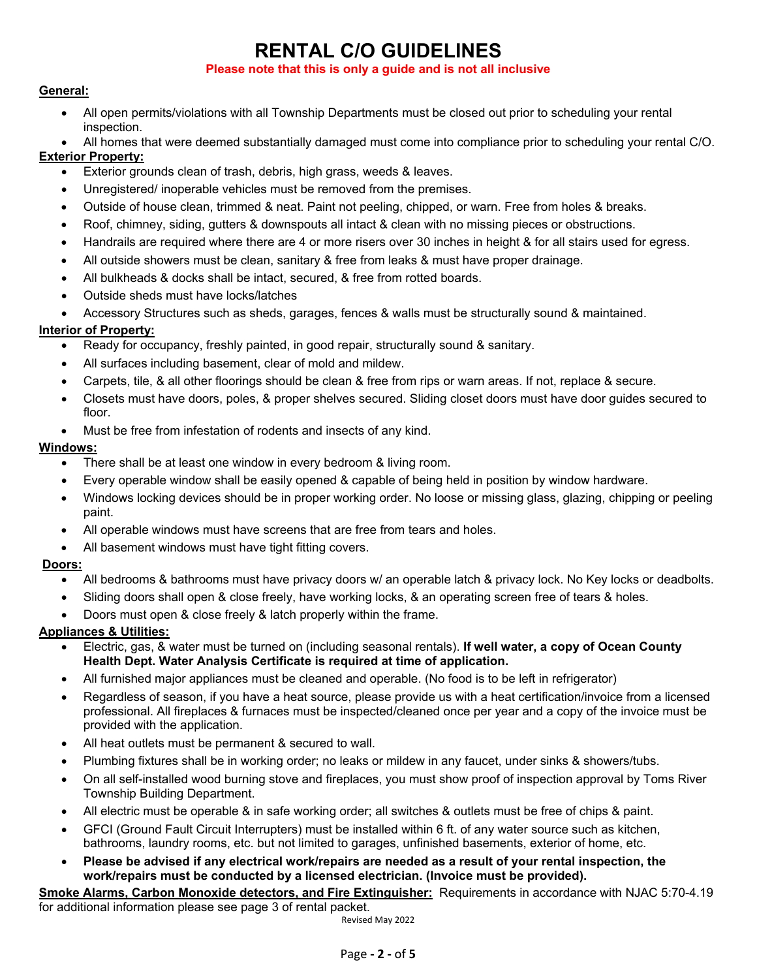# **RENTAL C/O GUIDELINES**

#### **Please note that this is only a guide and is not all inclusive**

## **General:**

 All open permits/violations with all Township Departments must be closed out prior to scheduling your rental inspection.

All homes that were deemed substantially damaged must come into compliance prior to scheduling your rental C/O.

## **Exterior Property:**

- Exterior grounds clean of trash, debris, high grass, weeds & leaves.
- Unregistered/ inoperable vehicles must be removed from the premises.
- Outside of house clean, trimmed & neat. Paint not peeling, chipped, or warn. Free from holes & breaks.
- Roof, chimney, siding, gutters & downspouts all intact & clean with no missing pieces or obstructions.
- Handrails are required where there are 4 or more risers over 30 inches in height & for all stairs used for egress.
- All outside showers must be clean, sanitary & free from leaks & must have proper drainage.
- All bulkheads & docks shall be intact, secured, & free from rotted boards.
- Outside sheds must have locks/latches
- Accessory Structures such as sheds, garages, fences & walls must be structurally sound & maintained.

## **Interior of Property:**

- Ready for occupancy, freshly painted, in good repair, structurally sound & sanitary.
- All surfaces including basement, clear of mold and mildew.
- Carpets, tile, & all other floorings should be clean & free from rips or warn areas. If not, replace & secure.
- Closets must have doors, poles, & proper shelves secured. Sliding closet doors must have door guides secured to floor.
- Must be free from infestation of rodents and insects of any kind.

## **Windows:**

- There shall be at least one window in every bedroom & living room.
- Every operable window shall be easily opened & capable of being held in position by window hardware.
- Windows locking devices should be in proper working order. No loose or missing glass, glazing, chipping or peeling paint.
- All operable windows must have screens that are free from tears and holes.
- All basement windows must have tight fitting covers.

### **Doors:**

- All bedrooms & bathrooms must have privacy doors w/ an operable latch & privacy lock. No Key locks or deadbolts.
- Sliding doors shall open & close freely, have working locks, & an operating screen free of tears & holes.
- Doors must open & close freely & latch properly within the frame.

### **Appliances & Utilities:**

- Electric, gas, & water must be turned on (including seasonal rentals). **If well water, a copy of Ocean County Health Dept. Water Analysis Certificate is required at time of application.**
- All furnished major appliances must be cleaned and operable. (No food is to be left in refrigerator)
- Regardless of season, if you have a heat source, please provide us with a heat certification/invoice from a licensed professional. All fireplaces & furnaces must be inspected/cleaned once per year and a copy of the invoice must be provided with the application.
- All heat outlets must be permanent & secured to wall.
- Plumbing fixtures shall be in working order; no leaks or mildew in any faucet, under sinks & showers/tubs.
- On all self-installed wood burning stove and fireplaces, you must show proof of inspection approval by Toms River Township Building Department.
- All electric must be operable & in safe working order; all switches & outlets must be free of chips & paint.
- GFCI (Ground Fault Circuit Interrupters) must be installed within 6 ft. of any water source such as kitchen, bathrooms, laundry rooms, etc. but not limited to garages, unfinished basements, exterior of home, etc.
- **Please be advised if any electrical work/repairs are needed as a result of your rental inspection, the work/repairs must be conducted by a licensed electrician. (Invoice must be provided).**

**Smoke Alarms, Carbon Monoxide detectors, and Fire Extinguisher:** Requirements in accordance with NJAC 5:70-4.19 for additional information please see page 3 of rental packet.

Revised May 2022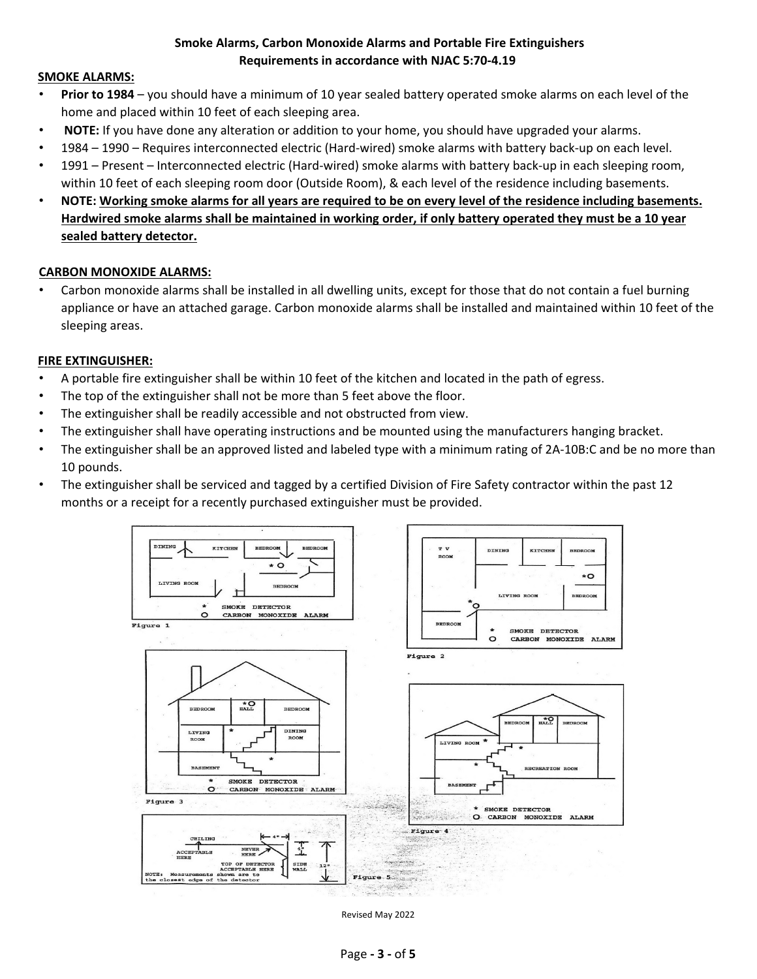## **Smoke Alarms, Carbon Monoxide Alarms and Portable Fire Extinguishers Requirements in accordance with NJAC 5:70‐4.19**

#### **SMOKE ALARMS:**

- **Prior to 1984** you should have a minimum of 10 year sealed battery operated smoke alarms on each level of the home and placed within 10 feet of each sleeping area.
- **NOTE:** If you have done any alteration or addition to your home, you should have upgraded your alarms.
- 1984 1990 Requires interconnected electric (Hard‐wired) smoke alarms with battery back‐up on each level.
- 1991 Present Interconnected electric (Hard‐wired) smoke alarms with battery back‐up in each sleeping room, within 10 feet of each sleeping room door (Outside Room), & each level of the residence including basements.
- **NOTE: Working smoke alarms for all years are required to be on every level of the residence including basements. Hardwired smoke alarms shall be maintained in working order, if only battery operated they must be a 10 year sealed battery detector.**

#### **CARBON MONOXIDE ALARMS:**

• Carbon monoxide alarms shall be installed in all dwelling units, except for those that do not contain a fuel burning appliance or have an attached garage. Carbon monoxide alarms shall be installed and maintained within 10 feet of the sleeping areas.

#### **FIRE EXTINGUISHER:**

- A portable fire extinguisher shall be within 10 feet of the kitchen and located in the path of egress.
- The top of the extinguisher shall not be more than 5 feet above the floor.
- The extinguisher shall be readily accessible and not obstructed from view.
- The extinguisher shall have operating instructions and be mounted using the manufacturers hanging bracket.
- The extinguisher shall be an approved listed and labeled type with a minimum rating of 2A-10B:C and be no more than 10 pounds.
- The extinguisher shall be serviced and tagged by a certified Division of Fire Safety contractor within the past 12 months or a receipt for a recently purchased extinguisher must be provided.



Revised May 2022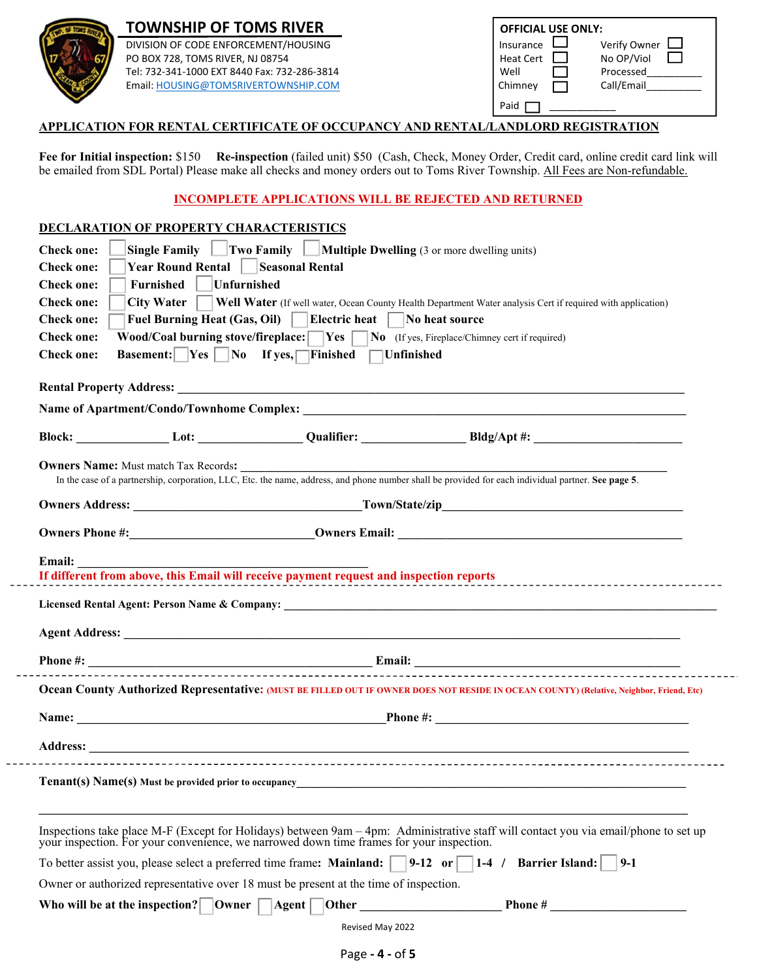

# **TOWNSHIP OF TOMS RIVER**

| <b>TOWNSHIP OF TOMS RIVER</b>                | <b>OFFICIAL USE ONLY:</b>      |
|----------------------------------------------|--------------------------------|
| DIVISION OF CODE ENFORCEMENT/HOUSING         | Verify Owner<br>Insurance      |
| PO BOX 728, TOMS RIVER, NJ 08754             | No OP/Viol<br><b>Heat Cert</b> |
| Tel: 732-341-1000 EXT 8440 Fax: 732-286-3814 | Well<br>Processed              |
| Email: HOUSING@TOMSRIVERTOWNSHIP.COM         | Call/Email<br>Chimney          |
|                                              | Paid                           |

## **APPLICATION FOR RENTAL CERTIFICATE OF OCCUPANCY AND RENTAL/LANDLORD REGISTRATION**

**Fee for Initial inspection:** \$150 **Re-inspection** (failed unit) \$50 (Cash, Check, Money Order, Credit card, online credit card link will be emailed from SDL Portal) Please make all checks and money orders out to Toms River Township. All Fees are Non-refundable.

## **INCOMPLETE APPLICATIONS WILL BE REJECTED AND RETURNED**

## **DECLARATION OF PROPERTY CHARACTERISTICS**

| <b>Check one:</b> |                                                | <b>Single Family</b> $\Box$ Two Family $\Box$ <b>Multiple Dwelling</b> (3 or more dwelling units) |                                                                                                                                                                                                                                                                                                                                                                                                              |
|-------------------|------------------------------------------------|---------------------------------------------------------------------------------------------------|--------------------------------------------------------------------------------------------------------------------------------------------------------------------------------------------------------------------------------------------------------------------------------------------------------------------------------------------------------------------------------------------------------------|
| <b>Check one:</b> | Year Round Rental   Seasonal Rental            |                                                                                                   |                                                                                                                                                                                                                                                                                                                                                                                                              |
| <b>Check one:</b> | Furnished<br>Unfurnished                       |                                                                                                   |                                                                                                                                                                                                                                                                                                                                                                                                              |
| <b>Check one:</b> | $City Water$                                   |                                                                                                   | Well Water (If well water, Ocean County Health Department Water analysis Cert if required with application)                                                                                                                                                                                                                                                                                                  |
| <b>Check one:</b> |                                                | Fuel Burning Heat (Gas, Oil)   Electric heat   No heat source                                     |                                                                                                                                                                                                                                                                                                                                                                                                              |
| <b>Check one:</b> |                                                | Wood/Coal burning stove/fireplace: Ves   No (If yes, Fireplace/Chimney cert if required)          |                                                                                                                                                                                                                                                                                                                                                                                                              |
| <b>Check one:</b> |                                                | Basement: $\Box$ Yes $\Box$ No If yes, $\Box$ Finished $\Box$ Unfinished                          |                                                                                                                                                                                                                                                                                                                                                                                                              |
|                   |                                                |                                                                                                   |                                                                                                                                                                                                                                                                                                                                                                                                              |
|                   |                                                |                                                                                                   |                                                                                                                                                                                                                                                                                                                                                                                                              |
|                   |                                                |                                                                                                   |                                                                                                                                                                                                                                                                                                                                                                                                              |
|                   |                                                |                                                                                                   |                                                                                                                                                                                                                                                                                                                                                                                                              |
|                   | <b>Owners Name:</b> Must match Tax Records:    |                                                                                                   |                                                                                                                                                                                                                                                                                                                                                                                                              |
|                   |                                                |                                                                                                   | In the case of a partnership, corporation, LLC, Etc. the name, address, and phone number shall be provided for each individual partner. See page 5.                                                                                                                                                                                                                                                          |
|                   |                                                |                                                                                                   | <b>Owners Address:</b> Town/State/zip_                                                                                                                                                                                                                                                                                                                                                                       |
|                   |                                                |                                                                                                   |                                                                                                                                                                                                                                                                                                                                                                                                              |
|                   |                                                |                                                                                                   |                                                                                                                                                                                                                                                                                                                                                                                                              |
| Email:            |                                                |                                                                                                   |                                                                                                                                                                                                                                                                                                                                                                                                              |
|                   |                                                |                                                                                                   |                                                                                                                                                                                                                                                                                                                                                                                                              |
|                   |                                                |                                                                                                   |                                                                                                                                                                                                                                                                                                                                                                                                              |
|                   |                                                |                                                                                                   |                                                                                                                                                                                                                                                                                                                                                                                                              |
|                   |                                                |                                                                                                   |                                                                                                                                                                                                                                                                                                                                                                                                              |
|                   |                                                |                                                                                                   | Ocean County Authorized Representative: (MUST BE FILLED OUT IF OWNER DOES NOT RESIDE IN OCEAN COUNTY) (Relative, Neighbor, Friend, Etc)                                                                                                                                                                                                                                                                      |
|                   |                                                |                                                                                                   | Name: Phone #: Phone #: Phone #: Phone #: Phone #: Phone #: Phone #: Phone #: Phone #: Phone #: Phone #: Phone #: Phone #: Phone #: Phone #: Phone #: Phone #: Phone #: Phone #: Phone #: Phone #: Phone #: Phone #: Phone #:                                                                                                                                                                                |
|                   |                                                |                                                                                                   |                                                                                                                                                                                                                                                                                                                                                                                                              |
|                   |                                                |                                                                                                   |                                                                                                                                                                                                                                                                                                                                                                                                              |
|                   |                                                |                                                                                                   | <b>Tenant(s) Name(s)</b> Must be provided prior to occupancy example to the state of the state of the state of the state of the state of the state of the state of the state of the state of the state of the state of the state of                                                                                                                                                                          |
|                   |                                                | your inspection. For your convenience, we narrowed down time frames for your inspection.          | Inspections take place M-F (Except for Holidays) between 9am - 4pm: Administrative staff will contact you via email/phone to set up                                                                                                                                                                                                                                                                          |
|                   |                                                | To better assist you, please select a preferred time frame: Mainland:   9-12 or                   | $\begin{array}{cc} 1-4 \end{array}$<br><b>Barrier Island:</b><br>$9-1$                                                                                                                                                                                                                                                                                                                                       |
|                   |                                                | Owner or authorized representative over 18 must be present at the time of inspection.             |                                                                                                                                                                                                                                                                                                                                                                                                              |
|                   | Who will be at the inspection?<br><b>Owner</b> | Agent  <br> Other                                                                                 | Phone # $\frac{1}{\sqrt{1-\frac{1}{2}}\sqrt{1-\frac{1}{2}}\sqrt{1-\frac{1}{2}}\sqrt{1-\frac{1}{2}}\sqrt{1-\frac{1}{2}}\sqrt{1-\frac{1}{2}}\sqrt{1-\frac{1}{2}}\sqrt{1-\frac{1}{2}}\sqrt{1-\frac{1}{2}}\sqrt{1-\frac{1}{2}}\sqrt{1-\frac{1}{2}}\sqrt{1-\frac{1}{2}}\sqrt{1-\frac{1}{2}}\sqrt{1-\frac{1}{2}}\sqrt{1-\frac{1}{2}}\sqrt{1-\frac{1}{2}}\sqrt{1-\frac{1}{2}}\sqrt{1-\frac{1}{2}}\sqrt{1-\frac{1}{$ |
|                   |                                                | Revised May 2022                                                                                  |                                                                                                                                                                                                                                                                                                                                                                                                              |